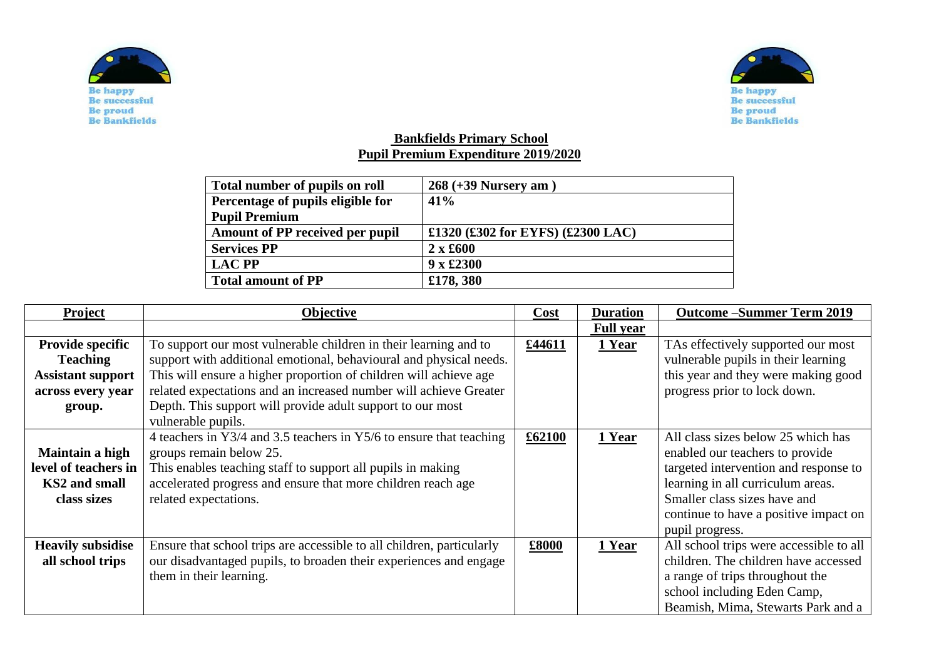



## **Bankfields Primary School Pupil Premium Expenditure 2019/2020**

| Total number of pupils on roll         | $268 (+39$ Nursery am $)$         |
|----------------------------------------|-----------------------------------|
| Percentage of pupils eligible for      | 41%                               |
| <b>Pupil Premium</b>                   |                                   |
| <b>Amount of PP received per pupil</b> | £1320 (£302 for EYFS) (£2300 LAC) |
| <b>Services PP</b>                     | $2 \times £600$                   |
| <b>LAC PP</b>                          | $9 \times £2300$                  |
| <b>Total amount of PP</b>              | £178, 380                         |

| Project                  | Objective                                                                                      | Cost   | <b>Duration</b>  | <b>Outcome-Summer Term 2019</b>                                       |
|--------------------------|------------------------------------------------------------------------------------------------|--------|------------------|-----------------------------------------------------------------------|
|                          |                                                                                                |        | <b>Full year</b> |                                                                       |
| Provide specific         | To support our most vulnerable children in their learning and to                               | £44611 | 1 Year           | TAs effectively supported our most                                    |
| <b>Teaching</b>          | support with additional emotional, behavioural and physical needs.                             |        |                  | vulnerable pupils in their learning                                   |
| <b>Assistant support</b> | This will ensure a higher proportion of children will achieve age                              |        |                  | this year and they were making good                                   |
| across every year        | related expectations and an increased number will achieve Greater                              |        |                  | progress prior to lock down.                                          |
| group.                   | Depth. This support will provide adult support to our most                                     |        |                  |                                                                       |
|                          | vulnerable pupils.                                                                             |        |                  |                                                                       |
| Maintain a high          | 4 teachers in Y3/4 and 3.5 teachers in Y5/6 to ensure that teaching<br>groups remain below 25. | £62100 | 1 Year           | All class sizes below 25 which has<br>enabled our teachers to provide |
| level of teachers in     | This enables teaching staff to support all pupils in making                                    |        |                  | targeted intervention and response to                                 |
| KS2 and small            | accelerated progress and ensure that more children reach age                                   |        |                  | learning in all curriculum areas.                                     |
| class sizes              | related expectations.                                                                          |        |                  | Smaller class sizes have and                                          |
|                          |                                                                                                |        |                  | continue to have a positive impact on                                 |
|                          |                                                                                                |        |                  | pupil progress.                                                       |
| <b>Heavily subsidise</b> | Ensure that school trips are accessible to all children, particularly                          | £8000  | 1 Year           | All school trips were accessible to all                               |
| all school trips         | our disadvantaged pupils, to broaden their experiences and engage                              |        |                  | children. The children have accessed                                  |
|                          | them in their learning.                                                                        |        |                  | a range of trips throughout the                                       |
|                          |                                                                                                |        |                  | school including Eden Camp,                                           |
|                          |                                                                                                |        |                  | Beamish, Mima, Stewarts Park and a                                    |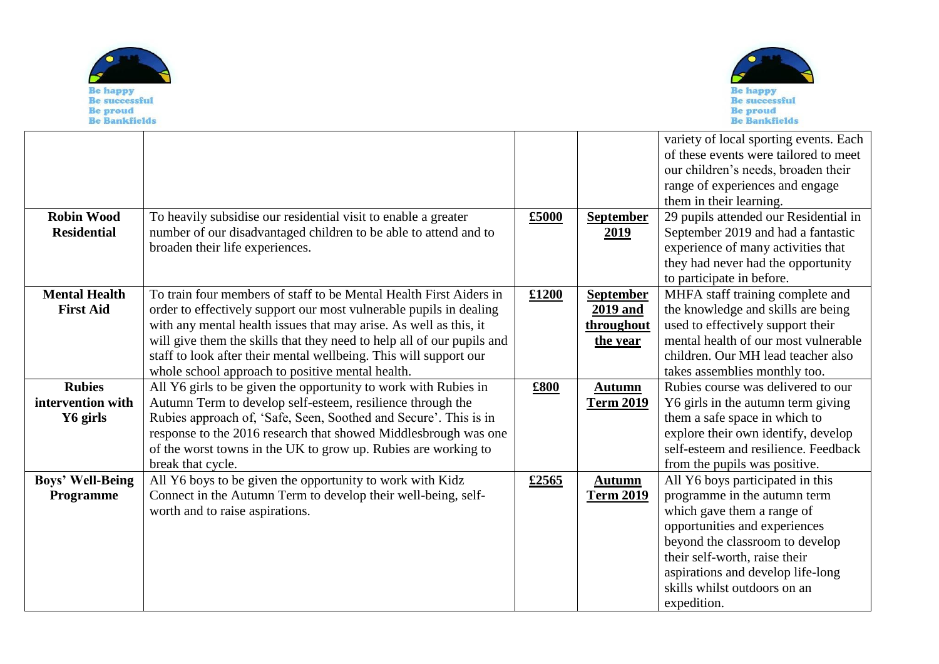



| <b>Robin Wood</b><br><b>Residential</b>        | To heavily subsidise our residential visit to enable a greater<br>number of our disadvantaged children to be able to attend and to<br>broaden their life experiences.                                                                                                                                                                                                                                            | £5000 | <b>September</b><br>2019                               | variety of local sporting events. Each<br>of these events were tailored to meet<br>our children's needs, broaden their<br>range of experiences and engage<br>them in their learning.<br>29 pupils attended our Residential in<br>September 2019 and had a fantastic<br>experience of many activities that<br>they had never had the opportunity<br>to participate in before. |
|------------------------------------------------|------------------------------------------------------------------------------------------------------------------------------------------------------------------------------------------------------------------------------------------------------------------------------------------------------------------------------------------------------------------------------------------------------------------|-------|--------------------------------------------------------|------------------------------------------------------------------------------------------------------------------------------------------------------------------------------------------------------------------------------------------------------------------------------------------------------------------------------------------------------------------------------|
| <b>Mental Health</b><br><b>First Aid</b>       | To train four members of staff to be Mental Health First Aiders in<br>order to effectively support our most vulnerable pupils in dealing<br>with any mental health issues that may arise. As well as this, it<br>will give them the skills that they need to help all of our pupils and<br>staff to look after their mental wellbeing. This will support our<br>whole school approach to positive mental health. | £1200 | <b>September</b><br>2019 and<br>throughout<br>the year | MHFA staff training complete and<br>the knowledge and skills are being<br>used to effectively support their<br>mental health of our most vulnerable<br>children. Our MH lead teacher also<br>takes assemblies monthly too.                                                                                                                                                   |
| <b>Rubies</b><br>intervention with<br>Y6 girls | All Y6 girls to be given the opportunity to work with Rubies in<br>Autumn Term to develop self-esteem, resilience through the<br>Rubies approach of, 'Safe, Seen, Soothed and Secure'. This is in<br>response to the 2016 research that showed Middlesbrough was one<br>of the worst towns in the UK to grow up. Rubies are working to<br>break that cycle.                                                      | £800  | <b>Autumn</b><br><b>Term 2019</b>                      | Rubies course was delivered to our<br>Y6 girls in the autumn term giving<br>them a safe space in which to<br>explore their own identify, develop<br>self-esteem and resilience. Feedback<br>from the pupils was positive.                                                                                                                                                    |
| <b>Boys' Well-Being</b><br>Programme           | All Y6 boys to be given the opportunity to work with Kidz<br>Connect in the Autumn Term to develop their well-being, self-<br>worth and to raise aspirations.                                                                                                                                                                                                                                                    | £2565 | <b>Autumn</b><br><b>Term 2019</b>                      | All Y6 boys participated in this<br>programme in the autumn term<br>which gave them a range of<br>opportunities and experiences<br>beyond the classroom to develop<br>their self-worth, raise their<br>aspirations and develop life-long<br>skills whilst outdoors on an<br>expedition.                                                                                      |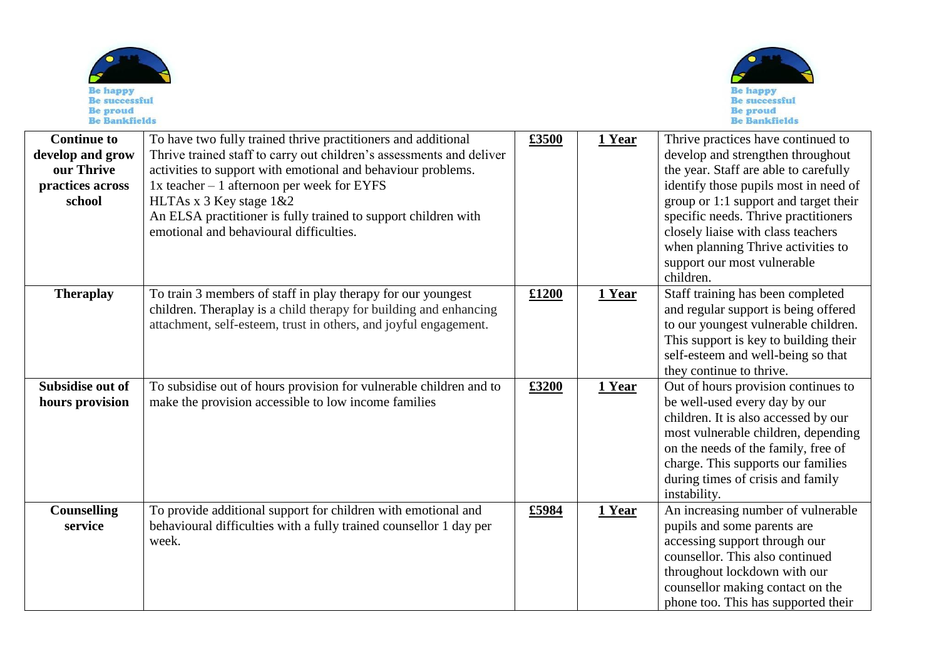| <b>Be happy</b><br><b>Be successful</b><br>Be proud<br><b>Be Bankfields</b> |                                                                                                                                                                                                                                                                                                                                                                                                                                                             |       |               | <b>Be happy</b><br><b>Be successful</b><br>Be proud<br><b>Be Bankfields</b>                                                                                                                                                                                                                                                                                                                                            |
|-----------------------------------------------------------------------------|-------------------------------------------------------------------------------------------------------------------------------------------------------------------------------------------------------------------------------------------------------------------------------------------------------------------------------------------------------------------------------------------------------------------------------------------------------------|-------|---------------|------------------------------------------------------------------------------------------------------------------------------------------------------------------------------------------------------------------------------------------------------------------------------------------------------------------------------------------------------------------------------------------------------------------------|
| <b>Continue to</b>                                                          | To have two fully trained thrive practitioners and additional                                                                                                                                                                                                                                                                                                                                                                                               | £3500 | <u>l Year</u> | Thrive practices have continued to                                                                                                                                                                                                                                                                                                                                                                                     |
| develop and grow                                                            | Thrive trained staff to carry out children's assessments and deliver                                                                                                                                                                                                                                                                                                                                                                                        |       |               | develop and strengthen throughout                                                                                                                                                                                                                                                                                                                                                                                      |
| $\mathbf{m}$                                                                | $\mathcal{L}(\mathcal{L}(\mathcal{L}(\mathcal{L}(\mathcal{L}(\mathcal{L}(\mathcal{L}(\mathcal{L}(\mathcal{L}(\mathcal{L}(\mathcal{L}(\mathcal{L}(\mathcal{L}(\mathcal{L}(\mathcal{L}(\mathcal{L}(\mathcal{L}(\mathcal{L}(\mathcal{L}(\mathcal{L}(\mathcal{L}(\mathcal{L}(\mathcal{L}(\mathcal{L}(\mathcal{L}(\mathcal{L}(\mathcal{L}(\mathcal{L}(\mathcal{L}(\mathcal{L}(\mathcal{L}(\mathcal{L}(\mathcal{L}(\mathcal{L}(\mathcal{L}(\mathcal{L}(\mathcal{$ |       |               | $\alpha$ , $\alpha$ , $\alpha$ , $\alpha$ , $\alpha$ , $\alpha$ , $\alpha$ , $\alpha$ , $\alpha$ , $\alpha$ , $\alpha$ , $\alpha$ , $\alpha$ , $\alpha$ , $\alpha$ , $\alpha$ , $\alpha$ , $\alpha$ , $\alpha$ , $\alpha$ , $\alpha$ , $\alpha$ , $\alpha$ , $\alpha$ , $\alpha$ , $\alpha$ , $\alpha$ , $\alpha$ , $\alpha$ , $\alpha$ , $\alpha$ , $\alpha$ , $\alpha$ , $\alpha$ , $\alpha$ , $\alpha$ , $\alpha$ , |

| Слишние м<br>develop and grow<br>our Thrive<br>practices across<br>school | TO have two fully trained thrive praetitioners and additional<br>Thrive trained staff to carry out children's assessments and deliver<br>activities to support with emotional and behaviour problems.<br>$1x$ teacher $-1$ afternoon per week for EYFS<br>HLTAs x 3 Key stage 1&2<br>An ELSA practitioner is fully trained to support children with<br>emotional and behavioural difficulties. | ๛๛๛   | r 1 cai | THING practices have continued to<br>develop and strengthen throughout<br>the year. Staff are able to carefully<br>identify those pupils most in need of<br>group or 1:1 support and target their<br>specific needs. Thrive practitioners<br>closely liaise with class teachers<br>when planning Thrive activities to<br>support our most vulnerable<br>children. |
|---------------------------------------------------------------------------|------------------------------------------------------------------------------------------------------------------------------------------------------------------------------------------------------------------------------------------------------------------------------------------------------------------------------------------------------------------------------------------------|-------|---------|-------------------------------------------------------------------------------------------------------------------------------------------------------------------------------------------------------------------------------------------------------------------------------------------------------------------------------------------------------------------|
| <b>Theraplay</b>                                                          | To train 3 members of staff in play therapy for our youngest<br>children. Theraplay is a child therapy for building and enhancing<br>attachment, self-esteem, trust in others, and joyful engagement.                                                                                                                                                                                          | £1200 | 1 Year  | Staff training has been completed<br>and regular support is being offered<br>to our youngest vulnerable children.<br>This support is key to building their<br>self-esteem and well-being so that<br>they continue to thrive.                                                                                                                                      |
| Subsidise out of<br>hours provision                                       | To subsidise out of hours provision for vulnerable children and to<br>make the provision accessible to low income families                                                                                                                                                                                                                                                                     | £3200 | 1 Year  | Out of hours provision continues to<br>be well-used every day by our<br>children. It is also accessed by our<br>most vulnerable children, depending<br>on the needs of the family, free of<br>charge. This supports our families<br>during times of crisis and family<br>instability.                                                                             |
| Counselling<br>service                                                    | To provide additional support for children with emotional and<br>behavioural difficulties with a fully trained counsellor 1 day per<br>week.                                                                                                                                                                                                                                                   | £5984 | 1 Year  | An increasing number of vulnerable<br>pupils and some parents are<br>accessing support through our<br>counsellor. This also continued<br>throughout lockdown with our<br>counsellor making contact on the<br>phone too. This has supported their                                                                                                                  |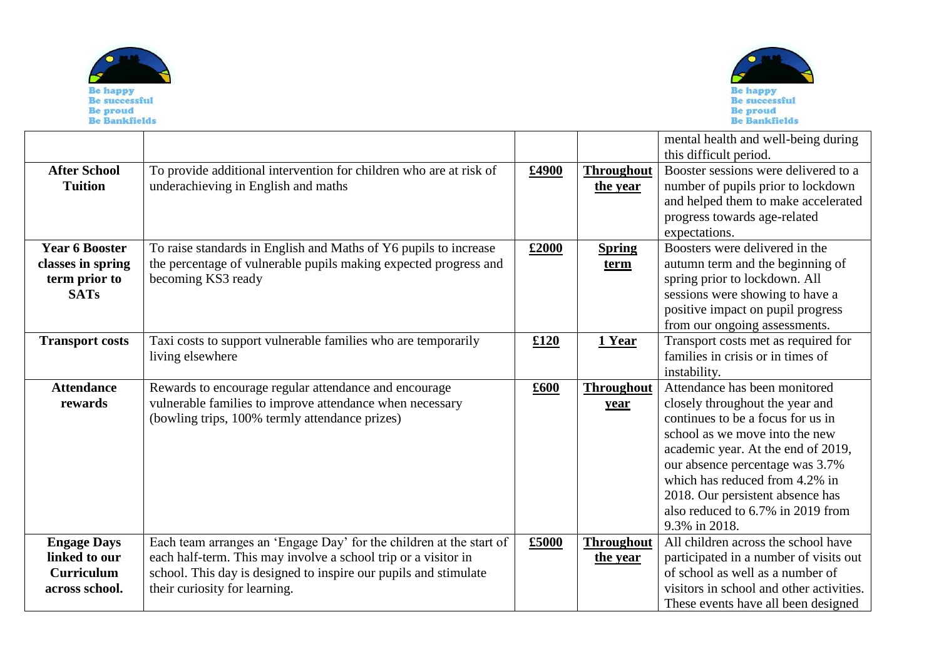



|                                                                            |                                                                                                                                                                                                                                            |       |                               | mental health and well-being during<br>this difficult period.                                                                                                                                                                                                                                                                                |
|----------------------------------------------------------------------------|--------------------------------------------------------------------------------------------------------------------------------------------------------------------------------------------------------------------------------------------|-------|-------------------------------|----------------------------------------------------------------------------------------------------------------------------------------------------------------------------------------------------------------------------------------------------------------------------------------------------------------------------------------------|
| <b>After School</b><br><b>Tuition</b>                                      | To provide additional intervention for children who are at risk of<br>underachieving in English and maths                                                                                                                                  | £4900 | <b>Throughout</b><br>the year | Booster sessions were delivered to a<br>number of pupils prior to lockdown<br>and helped them to make accelerated<br>progress towards age-related<br>expectations.                                                                                                                                                                           |
| <b>Year 6 Booster</b><br>classes in spring<br>term prior to<br><b>SATs</b> | To raise standards in English and Maths of Y6 pupils to increase<br>the percentage of vulnerable pupils making expected progress and<br>becoming KS3 ready                                                                                 | £2000 | <b>Spring</b><br><u>term</u>  | Boosters were delivered in the<br>autumn term and the beginning of<br>spring prior to lockdown. All<br>sessions were showing to have a<br>positive impact on pupil progress<br>from our ongoing assessments.                                                                                                                                 |
| <b>Transport costs</b>                                                     | Taxi costs to support vulnerable families who are temporarily<br>living elsewhere                                                                                                                                                          | £120  | 1 Year                        | Transport costs met as required for<br>families in crisis or in times of<br>instability.                                                                                                                                                                                                                                                     |
| <b>Attendance</b><br>rewards                                               | Rewards to encourage regular attendance and encourage<br>vulnerable families to improve attendance when necessary<br>(bowling trips, 100% termly attendance prizes)                                                                        | £600  | <b>Throughout</b><br>year     | Attendance has been monitored<br>closely throughout the year and<br>continues to be a focus for us in<br>school as we move into the new<br>academic year. At the end of 2019,<br>our absence percentage was 3.7%<br>which has reduced from 4.2% in<br>2018. Our persistent absence has<br>also reduced to 6.7% in 2019 from<br>9.3% in 2018. |
| <b>Engage Days</b><br>linked to our<br><b>Curriculum</b><br>across school. | Each team arranges an 'Engage Day' for the children at the start of<br>each half-term. This may involve a school trip or a visitor in<br>school. This day is designed to inspire our pupils and stimulate<br>their curiosity for learning. | £5000 | <b>Throughout</b><br>the year | All children across the school have<br>participated in a number of visits out<br>of school as well as a number of<br>visitors in school and other activities.<br>These events have all been designed                                                                                                                                         |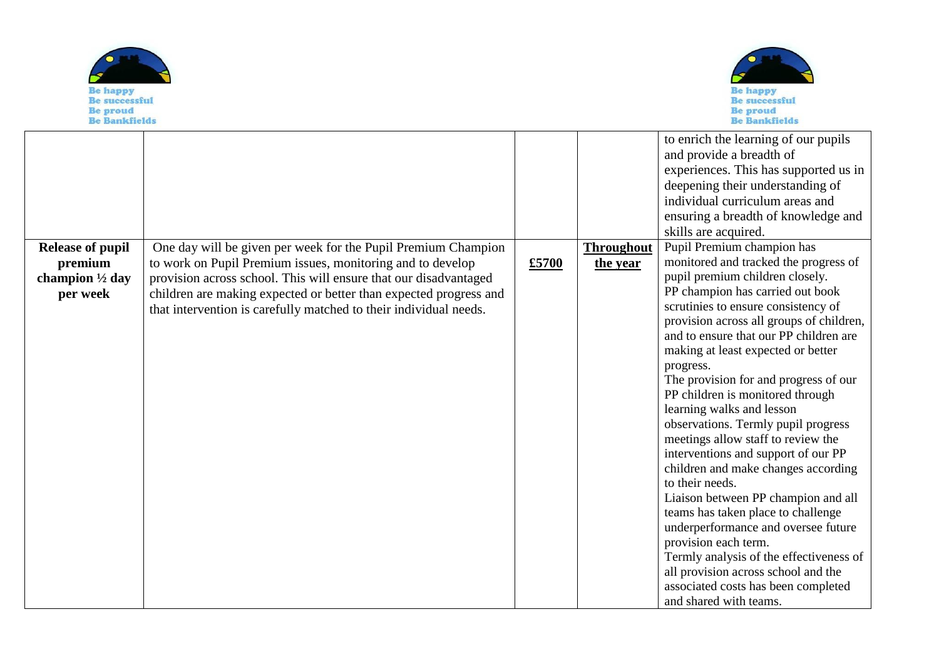



|                                                                              |                                                                                                                                                                                                                                                                                                                                           |       |                               | to enrich the learning of our pupils<br>and provide a breadth of<br>experiences. This has supported us in<br>deepening their understanding of<br>individual curriculum areas and<br>ensuring a breadth of knowledge and<br>skills are acquired.                                                                                                                                                                                                                                                                                                                                                                                                                                                                                                                                                                                                                                                                   |
|------------------------------------------------------------------------------|-------------------------------------------------------------------------------------------------------------------------------------------------------------------------------------------------------------------------------------------------------------------------------------------------------------------------------------------|-------|-------------------------------|-------------------------------------------------------------------------------------------------------------------------------------------------------------------------------------------------------------------------------------------------------------------------------------------------------------------------------------------------------------------------------------------------------------------------------------------------------------------------------------------------------------------------------------------------------------------------------------------------------------------------------------------------------------------------------------------------------------------------------------------------------------------------------------------------------------------------------------------------------------------------------------------------------------------|
| <b>Release of pupil</b><br>premium<br>champion $\frac{1}{2}$ day<br>per week | One day will be given per week for the Pupil Premium Champion<br>to work on Pupil Premium issues, monitoring and to develop<br>provision across school. This will ensure that our disadvantaged<br>children are making expected or better than expected progress and<br>that intervention is carefully matched to their individual needs. | £5700 | <b>Throughout</b><br>the year | Pupil Premium champion has<br>monitored and tracked the progress of<br>pupil premium children closely.<br>PP champion has carried out book<br>scrutinies to ensure consistency of<br>provision across all groups of children,<br>and to ensure that our PP children are<br>making at least expected or better<br>progress.<br>The provision for and progress of our<br>PP children is monitored through<br>learning walks and lesson<br>observations. Termly pupil progress<br>meetings allow staff to review the<br>interventions and support of our PP<br>children and make changes according<br>to their needs.<br>Liaison between PP champion and all<br>teams has taken place to challenge<br>underperformance and oversee future<br>provision each term.<br>Termly analysis of the effectiveness of<br>all provision across school and the<br>associated costs has been completed<br>and shared with teams. |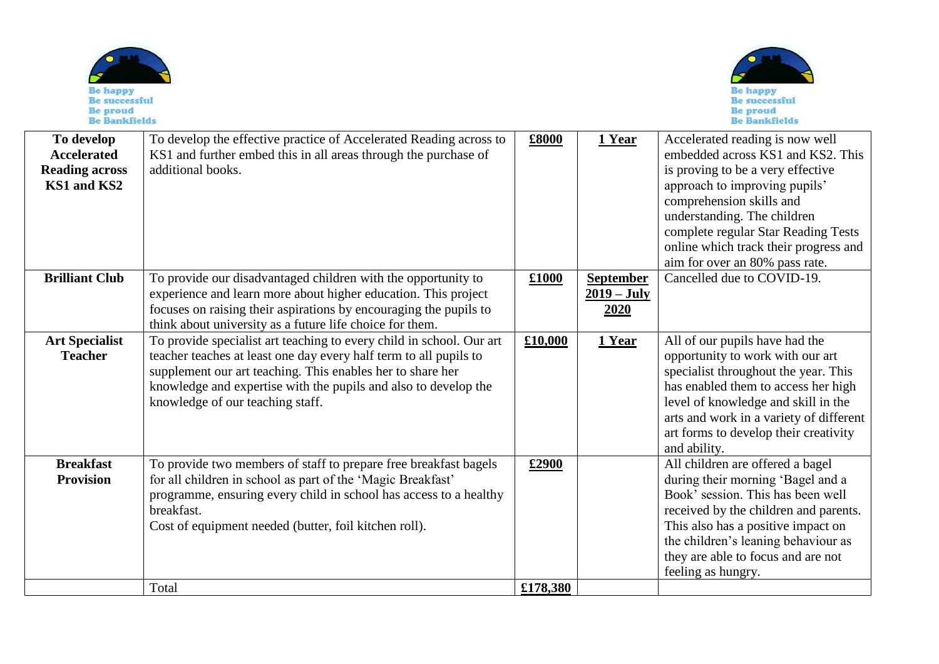| <b>Be successful</b><br><b>Be proud</b><br><b>Be Bankfields</b>          |                                                                                                                                                                                                                                                                                                                |          |                                           | <b>Be successful</b><br><b>Be proud</b><br><b>Be Bankfields</b>                                                                                                                                                                                                                                                         |
|--------------------------------------------------------------------------|----------------------------------------------------------------------------------------------------------------------------------------------------------------------------------------------------------------------------------------------------------------------------------------------------------------|----------|-------------------------------------------|-------------------------------------------------------------------------------------------------------------------------------------------------------------------------------------------------------------------------------------------------------------------------------------------------------------------------|
| To develop<br><b>Accelerated</b><br><b>Reading across</b><br>KS1 and KS2 | To develop the effective practice of Accelerated Reading across to<br>KS1 and further embed this in all areas through the purchase of<br>additional books.                                                                                                                                                     | £8000    | 1 Year                                    | Accelerated reading is now well<br>embedded across KS1 and KS2. This<br>is proving to be a very effective<br>approach to improving pupils'<br>comprehension skills and<br>understanding. The children<br>complete regular Star Reading Tests<br>online which track their progress and<br>aim for over an 80% pass rate. |
| <b>Brilliant Club</b>                                                    | To provide our disadvantaged children with the opportunity to<br>experience and learn more about higher education. This project<br>focuses on raising their aspirations by encouraging the pupils to<br>think about university as a future life choice for them.                                               | £1000    | <b>September</b><br>$2019 - July$<br>2020 | Cancelled due to COVID-19.                                                                                                                                                                                                                                                                                              |
| <b>Art Specialist</b><br><b>Teacher</b>                                  | To provide specialist art teaching to every child in school. Our art<br>teacher teaches at least one day every half term to all pupils to<br>supplement our art teaching. This enables her to share her<br>knowledge and expertise with the pupils and also to develop the<br>knowledge of our teaching staff. | £10,000  | 1 Year                                    | All of our pupils have had the<br>opportunity to work with our art<br>specialist throughout the year. This<br>has enabled them to access her high<br>level of knowledge and skill in the<br>arts and work in a variety of different<br>art forms to develop their creativity<br>and ability.                            |
| <b>Breakfast</b><br><b>Provision</b>                                     | To provide two members of staff to prepare free breakfast bagels<br>for all children in school as part of the 'Magic Breakfast'<br>programme, ensuring every child in school has access to a healthy<br>breakfast.<br>Cost of equipment needed (butter, foil kitchen roll).                                    | £2900    |                                           | All children are offered a bagel<br>during their morning 'Bagel and a<br>Book' session. This has been well<br>received by the children and parents.<br>This also has a positive impact on<br>the children's leaning behaviour as<br>they are able to focus and are not<br>feeling as hungry.                            |
|                                                                          | Total                                                                                                                                                                                                                                                                                                          | £178,380 |                                           |                                                                                                                                                                                                                                                                                                                         |